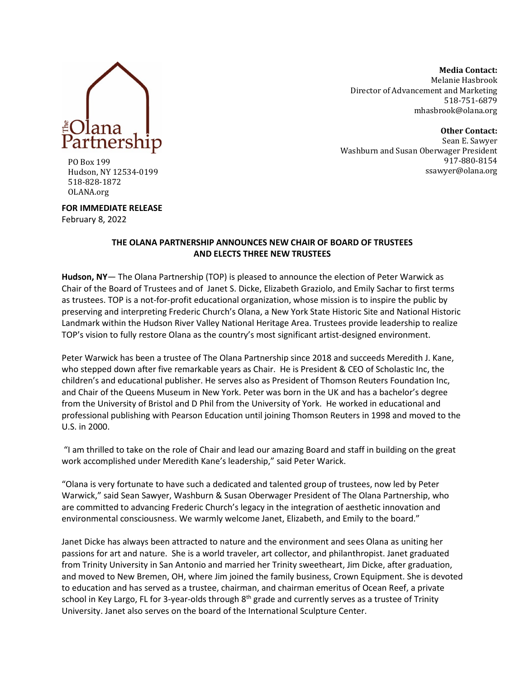

**Media Contact:** Melanie Hasbrook Director of Advancement and Marketing 518-751-6879 [mhasbrook@olana.org](mailto:mhasbrook@olana.org)

**Other Contact:** Sean E. Sawyer Washburn and Susan Oberwager President 917-880-8154 ssawyer@olana.org

PO Box 199 Hudson, NY 12534-0199 518-828-1872 OLANA.org

**FOR IMMEDIATE RELEASE**

February 8, 2022

## **THE OLANA PARTNERSHIP ANNOUNCES NEW CHAIR OF BOARD OF TRUSTEES AND ELECTS THREE NEW TRUSTEES**

**Hudson, NY**— The Olana Partnership (TOP) is pleased to announce the election of Peter Warwick as Chair of the Board of Trustees and of Janet S. Dicke, Elizabeth Graziolo, and Emily Sachar to first terms as trustees. TOP is a not-for-profit educational organization, whose mission is to inspire the public by preserving and interpreting Frederic Church's Olana, a New York State Historic Site and National Historic Landmark within the Hudson River Valley National Heritage Area. Trustees provide leadership to realize TOP's vision to fully restore Olana as the country's most significant artist-designed environment.

Peter Warwick has been a trustee of The Olana Partnership since 2018 and succeeds Meredith J. Kane, who stepped down after five remarkable years as Chair. He is President & CEO of Scholastic Inc, the children's and educational publisher. He serves also as President of Thomson Reuters Foundation Inc, and Chair of the Queens Museum in New York. Peter was born in the UK and has a bachelor's degree from the University of Bristol and D Phil from the University of York. He worked in educational and professional publishing with Pearson Education until joining Thomson Reuters in 1998 and moved to the U.S. in 2000.

"I am thrilled to take on the role of Chair and lead our amazing Board and staff in building on the great work accomplished under Meredith Kane's leadership," said Peter Warick.

"Olana is very fortunate to have such a dedicated and talented group of trustees, now led by Peter Warwick," said Sean Sawyer, Washburn & Susan Oberwager President of The Olana Partnership, who are committed to advancing Frederic Church's legacy in the integration of aesthetic innovation and environmental consciousness. We warmly welcome Janet, Elizabeth, and Emily to the board."

Janet Dicke has always been attracted to nature and the environment and sees Olana as uniting her passions for art and nature. She is a world traveler, art collector, and philanthropist. Janet graduated from Trinity University in San Antonio and married her Trinity sweetheart, Jim Dicke, after graduation, and moved to New Bremen, OH, where Jim joined the family business, Crown Equipment. She is devoted to education and has served as a trustee, chairman, and chairman emeritus of Ocean Reef, a private school in Key Largo, FL for 3-year-olds through 8<sup>th</sup> grade and currently serves as a trustee of Trinity University. Janet also serves on the board of the International Sculpture Center.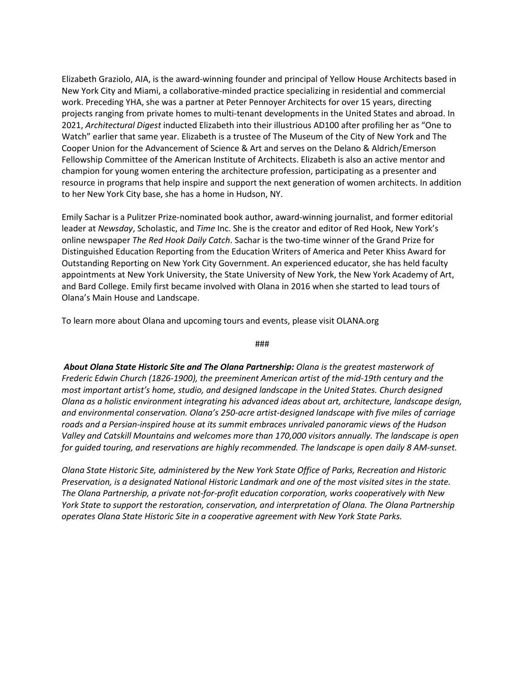Elizabeth Graziolo, AIA, is the award-winning founder and principal of Yellow House Architects based in New York City and Miami, a collaborative-minded practice specializing in residential and commercial work. Preceding YHA, she was a partner at Peter Pennoyer Architects for over 15 years, directing projects ranging from private homes to multi-tenant developments in the United States and abroad. In 2021, *Architectural Digest* inducted Elizabeth into their illustrious AD100 after profiling her as "One to Watch" earlier that same year. Elizabeth is a trustee of The Museum of the City of New York and The Cooper Union for the Advancement of Science & Art and serves on the Delano & Aldrich/Emerson Fellowship Committee of the American Institute of Architects. Elizabeth is also an active mentor and champion for young women entering the architecture profession, participating as a presenter and resource in programs that help inspire and support the next generation of women architects. In addition to her New York City base, she has a home in Hudson, NY.

Emily Sachar is a Pulitzer Prize-nominated book author, award-winning journalist, and former editorial leader at *Newsday*, Scholastic, and *Time* Inc. She is the creator and editor of Red Hook, New York's online newspaper *The Red Hook Daily Catch*. Sachar is the two-time winner of the Grand Prize for Distinguished Education Reporting from the Education Writers of America and Peter Khiss Award for Outstanding Reporting on New York City Government. An experienced educator, she has held faculty appointments at New York University, the State University of New York, the New York Academy of Art, and Bard College. Emily first became involved with Olana in 2016 when she started to lead tours of Olana's Main House and Landscape.

To learn more about Olana and upcoming tours and events, please visit OLANA.org

###

*About Olana State Historic Site and The Olana Partnership: Olana is the greatest masterwork of Frederic Edwin Church (1826-1900), the preeminent American artist of the mid-19th century and the most important artist's home, studio, and designed landscape in the United States. Church designed Olana as a holistic environment integrating his advanced ideas about art, architecture, landscape design, and environmental conservation. Olana's 250-acre artist-designed landscape with five miles of carriage roads and a Persian-inspired house at its summit embraces unrivaled panoramic views of the Hudson Valley and Catskill Mountains and welcomes more than 170,000 visitors annually. The landscape is open for guided touring, and reservations are highly recommended. The landscape is open daily 8 AM-sunset.* 

*Olana State Historic Site, administered by the New York State Office of Parks, Recreation and Historic Preservation, is a designated National Historic Landmark and one of the most visited sites in the state. The Olana Partnership, a private not-for-profit education corporation, works cooperatively with New York State to support the restoration, conservation, and interpretation of Olana. The Olana Partnership operates Olana State Historic Site in a cooperative agreement with New York State Parks.*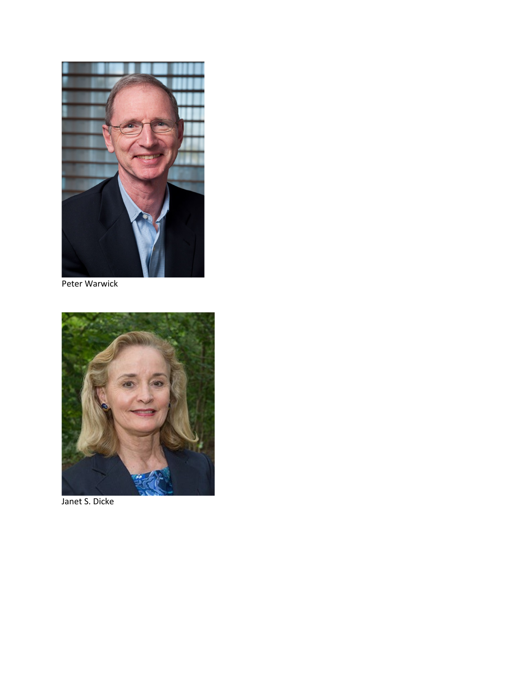

Peter Warwick



Janet S. Dicke